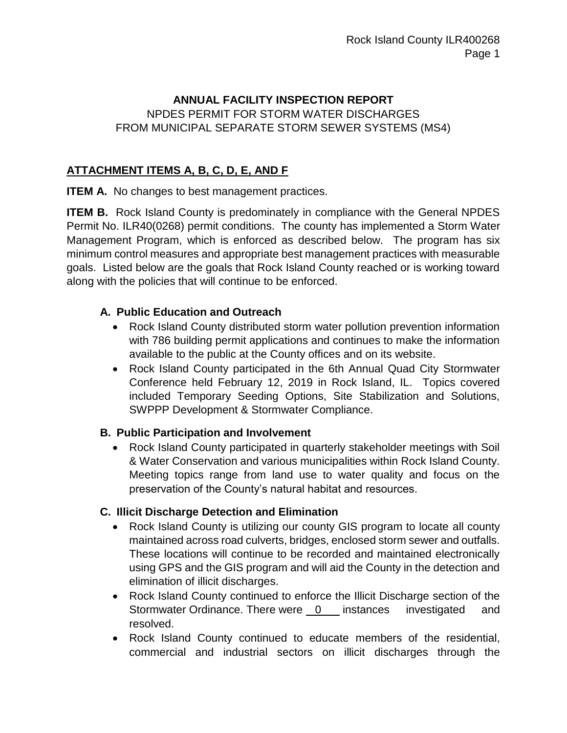#### **ANNUAL FACILITY INSPECTION REPORT**

## NPDES PERMIT FOR STORM WATER DISCHARGES FROM MUNICIPAL SEPARATE STORM SEWER SYSTEMS (MS4)

# **ATTACHMENT ITEMS A, B, C, D, E, AND F**

**ITEM A.** No changes to best management practices.

**ITEM B.** Rock Island County is predominately in compliance with the General NPDES Permit No. ILR40(0268) permit conditions. The county has implemented a Storm Water Management Program, which is enforced as described below. The program has six minimum control measures and appropriate best management practices with measurable goals. Listed below are the goals that Rock Island County reached or is working toward along with the policies that will continue to be enforced.

## **A. Public Education and Outreach**

- Rock Island County distributed storm water pollution prevention information with 786 building permit applications and continues to make the information available to the public at the County offices and on its website.
- Rock Island County participated in the 6th Annual Quad City Stormwater Conference held February 12, 2019 in Rock Island, IL. Topics covered included Temporary Seeding Options, Site Stabilization and Solutions, SWPPP Development & Stormwater Compliance.

#### **B. Public Participation and Involvement**

 Rock Island County participated in quarterly stakeholder meetings with Soil & Water Conservation and various municipalities within Rock Island County. Meeting topics range from land use to water quality and focus on the preservation of the County's natural habitat and resources.

## **C. Illicit Discharge Detection and Elimination**

- Rock Island County is utilizing our county GIS program to locate all county maintained across road culverts, bridges, enclosed storm sewer and outfalls. These locations will continue to be recorded and maintained electronically using GPS and the GIS program and will aid the County in the detection and elimination of illicit discharges.
- Rock Island County continued to enforce the Illicit Discharge section of the Stormwater Ordinance. There were 0 instances investigated and resolved.
- Rock Island County continued to educate members of the residential, commercial and industrial sectors on illicit discharges through the